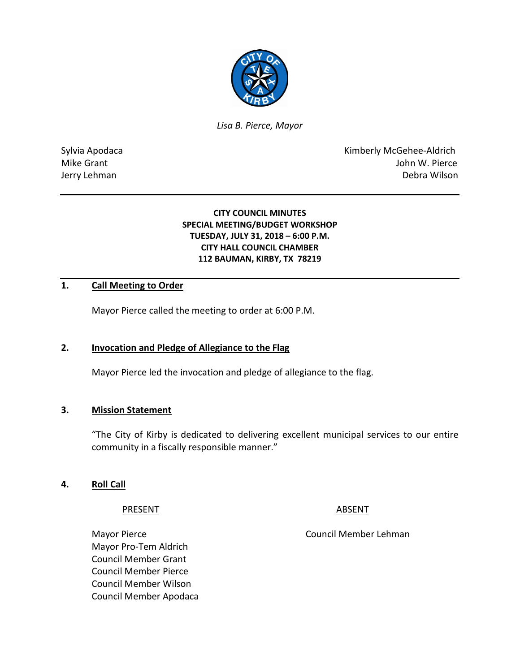

*Lisa B. Pierce, Mayor* 

Sylvia Apodaca **Kimberly McGehee-Aldrich** Mike Grant **Mike Grant** John W. Pierce Jerry Lehman Debra Wilson

## **CITY COUNCIL MINUTES SPECIAL MEETING/BUDGET WORKSHOP TUESDAY, JULY 31, 2018 – 6:00 P.M. CITY HALL COUNCIL CHAMBER 112 BAUMAN, KIRBY, TX 78219**

# **1. Call Meeting to Order**

Mayor Pierce called the meeting to order at 6:00 P.M.

## **2. Invocation and Pledge of Allegiance to the Flag**

Mayor Pierce led the invocation and pledge of allegiance to the flag.

#### **3. Mission Statement**

"The City of Kirby is dedicated to delivering excellent municipal services to our entire community in a fiscally responsible manner."

#### **4. Roll Call**

#### PRESENT ABSENT

Mayor Pierce **Council Member Lehman** Mayor Pro-Tem Aldrich Council Member Grant Council Member Pierce Council Member Wilson Council Member Apodaca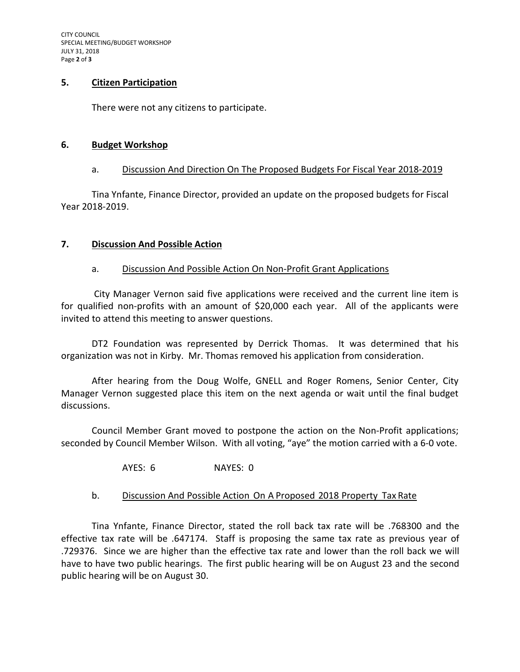CITY COUNCIL SPECIAL MEETING/BUDGET WORKSHOP JULY 31, 2018 Page **2** of **3**

## **5. Citizen Participation**

There were not any citizens to participate.

### **6. Budget Workshop**

### a. Discussion And Direction On The Proposed Budgets For Fiscal Year 2018-2019

Tina Ynfante, Finance Director, provided an update on the proposed budgets for Fiscal Year 2018-2019.

## **7. Discussion And Possible Action**

### a. Discussion And Possible Action On Non-Profit Grant Applications

City Manager Vernon said five applications were received and the current line item is for qualified non-profits with an amount of \$20,000 each year. All of the applicants were invited to attend this meeting to answer questions.

DT2 Foundation was represented by Derrick Thomas. It was determined that his organization was not in Kirby. Mr. Thomas removed his application from consideration.

After hearing from the Doug Wolfe, GNELL and Roger Romens, Senior Center, City Manager Vernon suggested place this item on the next agenda or wait until the final budget discussions.

Council Member Grant moved to postpone the action on the Non-Profit applications; seconded by Council Member Wilson. With all voting, "aye" the motion carried with a 6-0 vote.

## AYES: 6 NAYES: 0

## b. Discussion And Possible Action On A Proposed 2018 Property Tax Rate

Tina Ynfante, Finance Director, stated the roll back tax rate will be .768300 and the effective tax rate will be .647174. Staff is proposing the same tax rate as previous year of .729376. Since we are higher than the effective tax rate and lower than the roll back we will have to have two public hearings. The first public hearing will be on August 23 and the second public hearing will be on August 30.